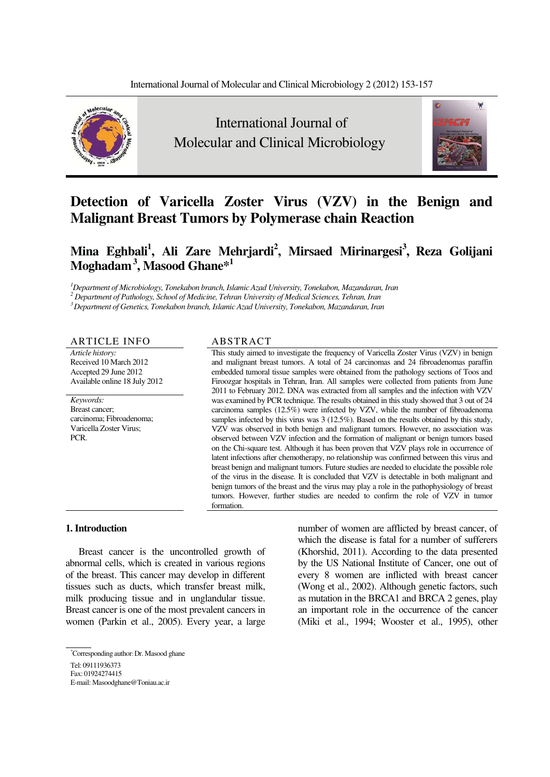

 International Journal of Molecular and Clinical Microbiology



# **Detection of Varicella Zoster Virus (VZV) in the Benign and Malignant Breast Tumors by Polymerase chain Reaction**

## Mina Eghbali<sup>1</sup>, Ali Zare Mehrjardi<sup>2</sup>, Mirsaed Mirinargesi<sup>3</sup>, Reza Golijani **Moghadam 3, Masood Ghane\*1**

*1 Department of Microbiology, Tonekabon branch, Islamic Azad University, Tonekabon, Mazandaran, Iran* 

*2 Department of Pathology, School of Medicine, Tehran University of Medical Sciences, Tehran, Iran* 

*3 Department of Genetics, Tonekabon branch, Islamic Azad University, Tonekabon, Mazandaran, Iran* 

#### ARTICLE INFO ABSTRACT

*Article history:*  Received 10 March 2012 Accepted 29 June 2012 Available online 18 July 2012

*Keywords:*  Breast cancer; carcinoma; Fibroadenoma; Varicella Zoster Virus; PCR.

This study aimed to investigate the frequency of Varicella Zoster Virus (VZV) in benign and malignant breast tumors. A total of 24 carcinomas and 24 fibroadenomas paraffin embedded tumoral tissue samples were obtained from the pathology sections of Toos and Firoozgar hospitals in Tehran, Iran. All samples were collected from patients from June 2011 to February 2012. DNA was extracted from all samples and the infection with VZV was examined by PCR technique. The results obtained in this study showed that 3 out of 24 carcinoma samples (12.5%) were infected by VZV, while the number of fibroadenoma samples infected by this virus was 3 (12.5%). Based on the results obtained by this study, VZV was observed in both benign and malignant tumors. However, no association was observed between VZV infection and the formation of malignant or benign tumors based on the Chi-square test. Although it has been proven that VZV plays role in occurrence of latent infections after chemotherapy, no relationship was confirmed between this virus and breast benign and malignant tumors. Future studies are needed to elucidate the possible role of the virus in the disease. It is concluded that VZV is detectable in both malignant and benign tumors of the breast and the virus may play a role in the pathophysiology of breast tumors. However, further studies are needed to confirm the role of VZV in tumor formation.

**1. Introduction** 

Breast cancer is the uncontrolled growth of abnormal cells, which is created in various regions of the breast. This cancer may develop in different tissues such as ducts, which transfer breast milk, milk producing tissue and in unglandular tissue. Breast cancer is one of the most prevalent cancers in women (Parkin et al., 2005). Every year, a large

number of women are afflicted by breast cancer, of which the disease is fatal for a number of sufferers (Khorshid, 2011). According to the data presented by the US National Institute of Cancer, one out of every 8 women are inflicted with breast cancer (Wong et al., 2002). Although genetic factors, such as mutation in the BRCA1 and BRCA 2 genes, play an important role in the occurrence of the cancer (Miki et al., 1994; Wooster et al., 1995), other

<sup>\*</sup> Corresponding author- Dr. Masood ghane Tel: 09111936373

Fax: 01924274415

E-mail: Masoodghane@Toniau.ac.ir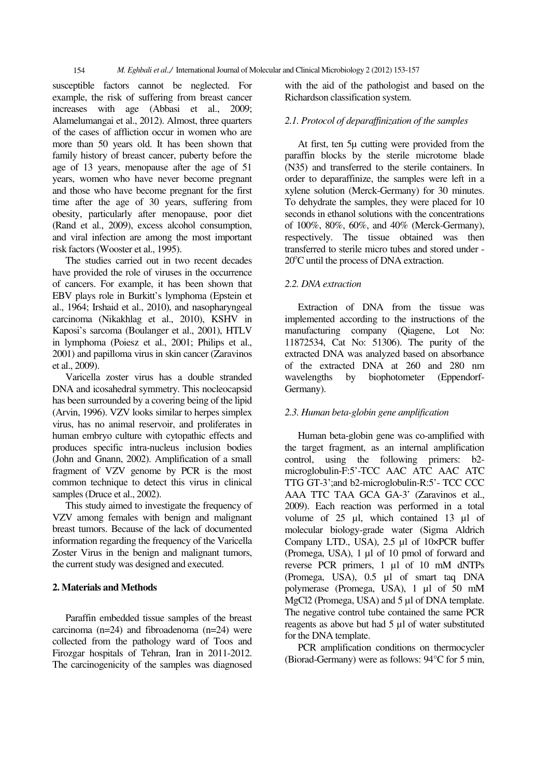susceptible factors cannot be neglected. For example, the risk of suffering from breast cancer increases with age (Abbasi et al., 2009; Alamelumangai et al., 2012). Almost, three quarters of the cases of affliction occur in women who are more than 50 years old. It has been shown that family history of breast cancer, puberty before the age of 13 years, menopause after the age of 51 years, women who have never become pregnant and those who have become pregnant for the first time after the age of 30 years, suffering from obesity, particularly after menopause, poor diet (Rand et al., 2009), excess alcohol consumption, and viral infection are among the most important risk factors (Wooster et al., 1995).

The studies carried out in two recent decades have provided the role of viruses in the occurrence of cancers. For example, it has been shown that EBV plays role in Burkitt's lymphoma (Epstein et al., 1964; Irshaid et al., 2010), and nasopharyngeal carcinoma (Nikakhlag et al., 2010), KSHV in Kaposi's sarcoma (Boulanger et al., 2001), HTLV in lymphoma (Poiesz et al., 2001; Philips et al., 2001) and papilloma virus in skin cancer (Zaravinos et al., 2009).

Varicella zoster virus has a double stranded DNA and icosahedral symmetry. This nocleocapsid has been surrounded by a covering being of the lipid (Arvin, 1996). VZV looks similar to herpes simplex virus, has no animal reservoir, and proliferates in human embryo culture with cytopathic effects and produces specific intra-nucleus inclusion bodies (John and Gnann, 2002). Amplification of a small fragment of VZV genome by PCR is the most common technique to detect this virus in clinical samples (Druce et al., 2002).

This study aimed to investigate the frequency of VZV among females with benign and malignant breast tumors. Because of the lack of documented information regarding the frequency of the Varicella Zoster Virus in the benign and malignant tumors, the current study was designed and executed.

#### **2. Materials and Methods**

Paraffin embedded tissue samples of the breast carcinoma (n=24) and fibroadenoma (n=24) were collected from the pathology ward of Toos and Firozgar hospitals of Tehran, Iran in 2011-2012. The carcinogenicity of the samples was diagnosed with the aid of the pathologist and based on the Richardson classification system.

#### *2.1. Protocol of deparaffinization of the samples*

At first, ten 5μ cutting were provided from the paraffin blocks by the sterile microtome blade (N35) and transferred to the sterile containers. In order to deparaffinize, the samples were left in a xylene solution (Merck-Germany) for 30 minutes. To dehydrate the samples, they were placed for 10 seconds in ethanol solutions with the concentrations of 100%, 80%, 60%, and 40% (Merck-Germany), respectively. The tissue obtained was then transferred to sterile micro tubes and stored under - 20°C until the process of DNA extraction.

#### *2.2. DNA extraction*

Extraction of DNA from the tissue was implemented according to the instructions of the manufacturing company (Qiagene, Lot No: 11872534, Cat No: 51306). The purity of the extracted DNA was analyzed based on absorbance of the extracted DNA at 260 and 280 nm wavelengths by biophotometer (Eppendorf-Germany).

#### *2.3. Human beta-globin gene amplification*

Human beta-globin gene was co-amplified with the target fragment, as an internal amplification control, using the following primers: b2 microglobulin-F:5'-TCC AAC ATC AAC ATC TTG GT-3';and b2-microglobulin-R:5'- TCC CCC AAA TTC TAA GCA GA-3' (Zaravinos et al., 2009). Each reaction was performed in a total volume of 25 μl, which contained 13 μl of molecular biology-grade water (Sigma Aldrich Company LTD., USA), 2.5 μl of 10×PCR buffer (Promega, USA), 1 μl of 10 pmol of forward and reverse PCR primers, 1 μl of 10 mM dNTPs (Promega, USA), 0.5 μl of smart taq DNA polymerase (Promega, USA), 1 μl of 50 mM MgCl2 (Promega, USA) and 5 μl of DNA template. The negative control tube contained the same PCR reagents as above but had 5 μl of water substituted for the DNA template.

PCR amplification conditions on thermocycler (Biorad-Germany) were as follows: 94°C for 5 min,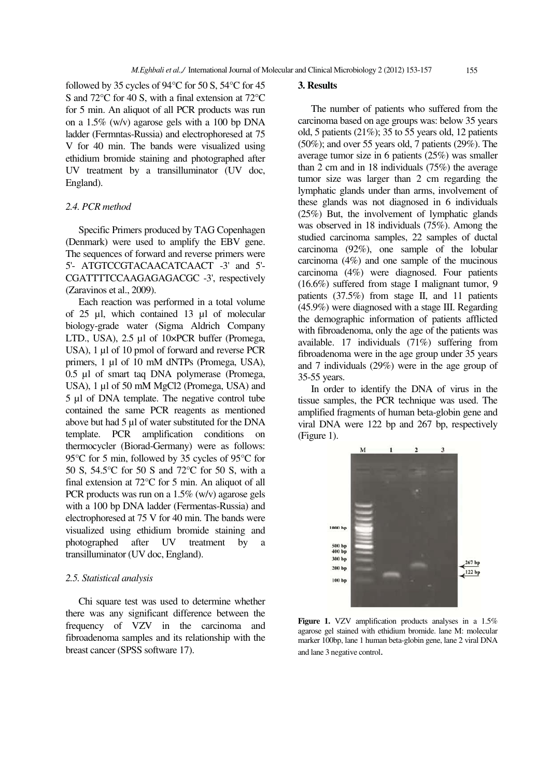followed by 35 cycles of 94°C for 50 S, 54°C for 45 S and 72°C for 40 S, with a final extension at 72°C for 5 min. An aliquot of all PCR products was run on a 1.5% (w/v) agarose gels with a 100 bp DNA ladder (Fermntas-Russia) and electrophoresed at 75 V for 40 min. The bands were visualized using ethidium bromide staining and photographed after UV treatment by a transilluminator (UV doc, England).

#### *2.4. PCR method*

Specific Primers produced by TAG Copenhagen (Denmark) were used to amplify the EBV gene. The sequences of forward and reverse primers were 5'- ATGTCCGTACAACATCAACT -3' and 5'- CGATTTTCCAAGAGAGACGC -3', respectively (Zaravinos et al., 2009).

Each reaction was performed in a total volume of 25 μl, which contained 13 μl of molecular biology-grade water (Sigma Aldrich Company LTD., USA), 2.5 μl of 10×PCR buffer (Promega, USA), 1 μl of 10 pmol of forward and reverse PCR primers, 1 μl of 10 mM dNTPs (Promega, USA), 0.5 μl of smart taq DNA polymerase (Promega, USA), 1 μl of 50 mM MgCl2 (Promega, USA) and 5 μl of DNA template. The negative control tube contained the same PCR reagents as mentioned above but had 5 μl of water substituted for the DNA template. PCR amplification conditions on thermocycler (Biorad-Germany) were as follows: 95°C for 5 min, followed by 35 cycles of 95°C for 50 S, 54.5°C for 50 S and 72°C for 50 S, with a final extension at 72°C for 5 min. An aliquot of all PCR products was run on a 1.5% (w/v) agarose gels with a 100 bp DNA ladder (Fermentas-Russia) and electrophoresed at 75 V for 40 min. The bands were visualized using ethidium bromide staining and photographed after UV treatment by a transilluminator (UV doc, England).

#### *2.5. Statistical analysis*

Chi square test was used to determine whether there was any significant difference between the frequency of VZV in the carcinoma and fibroadenoma samples and its relationship with the breast cancer (SPSS software 17).

### **3. Results**

The number of patients who suffered from the carcinoma based on age groups was: below 35 years old, 5 patients (21%); 35 to 55 years old, 12 patients (50%); and over 55 years old, 7 patients (29%). The average tumor size in 6 patients (25%) was smaller than 2 cm and in 18 individuals (75%) the average tumor size was larger than 2 cm regarding the lymphatic glands under than arms, involvement of these glands was not diagnosed in 6 individuals (25%) But, the involvement of lymphatic glands was observed in 18 individuals (75%). Among the studied carcinoma samples, 22 samples of ductal carcinoma (92%), one sample of the lobular carcinoma (4%) and one sample of the mucinous carcinoma (4%) were diagnosed. Four patients (16.6%) suffered from stage I malignant tumor, 9 patients (37.5%) from stage II, and 11 patients (45.9%) were diagnosed with a stage III. Regarding the demographic information of patients afflicted with fibroadenoma, only the age of the patients was available. 17 individuals (71%) suffering from fibroadenoma were in the age group under 35 years and 7 individuals (29%) were in the age group of 35-55 years.

In order to identify the DNA of virus in the tissue samples, the PCR technique was used. The amplified fragments of human beta-globin gene and viral DNA were 122 bp and 267 bp, respectively (Figure 1).



**Figure 1.** VZV amplification products analyses in a 1.5% agarose gel stained with ethidium bromide. lane M: molecular marker 100bp, lane 1 human beta-globin gene, lane 2 viral DNA and lane 3 negative control.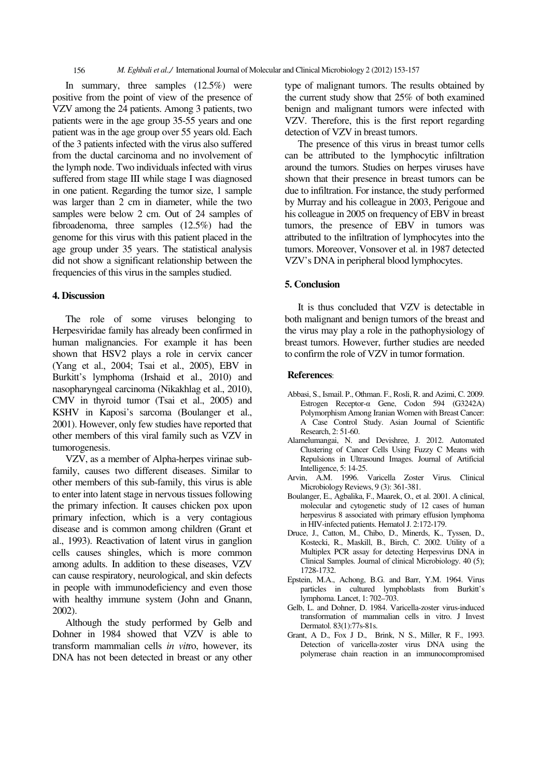In summary, three samples (12.5%) were positive from the point of view of the presence of VZV among the 24 patients. Among 3 patients, two patients were in the age group 35-55 years and one patient was in the age group over 55 years old. Each of the 3 patients infected with the virus also suffered from the ductal carcinoma and no involvement of the lymph node. Two individuals infected with virus suffered from stage III while stage I was diagnosed in one patient. Regarding the tumor size, 1 sample was larger than 2 cm in diameter, while the two samples were below 2 cm. Out of 24 samples of fibroadenoma, three samples (12.5%) had the genome for this virus with this patient placed in the age group under 35 years. The statistical analysis did not show a significant relationship between the frequencies of this virus in the samples studied.

#### **4. Discussion**

The role of some viruses belonging to Herpesviridae family has already been confirmed in human malignancies. For example it has been shown that HSV2 plays a role in cervix cancer (Yang et al., 2004; Tsai et al., 2005), EBV in Burkitt's lymphoma (Irshaid et al., 2010) and nasopharyngeal carcinoma (Nikakhlag et al., 2010), CMV in thyroid tumor (Tsai et al., 2005) and KSHV in Kaposi's sarcoma (Boulanger et al., 2001). However, only few studies have reported that other members of this viral family such as VZV in tumorogenesis.

VZV, as a member of Alpha-herpes virinae subfamily, causes two different diseases. Similar to other members of this sub-family, this virus is able to enter into latent stage in nervous tissues following the primary infection. It causes chicken pox upon primary infection, which is a very contagious disease and is common among children (Grant et al., 1993). Reactivation of latent virus in ganglion cells causes shingles, which is more common among adults. In addition to these diseases, VZV can cause respiratory, neurological, and skin defects in people with immunodeficiency and even those with healthy immune system (John and Gnann, 2002).

Although the study performed by Gelb and Dohner in 1984 showed that VZV is able to transform mammalian cells *in vit*ro, however, its DNA has not been detected in breast or any other

type of malignant tumors. The results obtained by the current study show that 25% of both examined benign and malignant tumors were infected with VZV. Therefore, this is the first report regarding detection of VZV in breast tumors.

The presence of this virus in breast tumor cells can be attributed to the lymphocytic infiltration around the tumors. Studies on herpes viruses have shown that their presence in breast tumors can be due to infiltration. For instance, the study performed by Murray and his colleague in 2003, Perigoue and his colleague in 2005 on frequency of EBV in breast tumors, the presence of EBV in tumors was attributed to the infiltration of lymphocytes into the tumors. Moreover, Vonsover et al. in 1987 detected VZV's DNA in peripheral blood lymphocytes.

#### **5. Conclusion**

It is thus concluded that VZV is detectable in both malignant and benign tumors of the breast and the virus may play a role in the pathophysiology of breast tumors. However, further studies are needed to confirm the role of VZV in tumor formation.

#### **References**:

- Abbasi, S., Ismail. P., Othman. F., Rosli, R. and Azimi, C. 2009. Estrogen Receptor- $\alpha$  Gene, Codon 594 (G3242A) Polymorphism Among Iranian Women with Breast Cancer: A Case Control Study. Asian Journal of Scientific Research, 2: 51-60.
- Alamelumangai, N. and Devishree, J. 2012. Automated Clustering of Cancer Cells Using Fuzzy C Means with Repulsions in Ultrasound Images. Journal of Artificial Intelligence, 5: 14-25.
- Arvin, A.M. 1996. Varicella Zoster Virus. Clinical Microbiology Reviews, 9 (3): 361-381.
- Boulanger, E., Agbalika, F., Maarek, O., et al. 2001. A clinical, molecular and cytogenetic study of 12 cases of human herpesvirus 8 associated with primary effusion lymphoma in HIV-infected patients. Hematol J. 2:172-179.
- Druce, J., Catton, M., Chibo, D., Minerds, K., Tyssen, D., Kostecki, R., Maskill, B., Birch, C. 2002. Utility of a Multiplex PCR assay for detecting Herpesvirus DNA in Clinical Samples. Journal of clinical Microbiology. 40 (5); 1728-1732.
- Epstein, M.A., Achong, B.G. and Barr, Y.M. 1964. Virus particles in cultured lymphoblasts from Burkitt's lymphoma. Lancet, 1: 702–703.
- Gelb, L. and Dohner, D. 1984. Varicella-zoster virus-induced transformation of mammalian cells in vitro. J Invest Dermatol. 83(1):77s-81s.
- Grant, A D., Fox J D., Brink, N S., Miller, R F., 1993. Detection of varicella-zoster virus DNA using the polymerase chain reaction in an immunocompromised